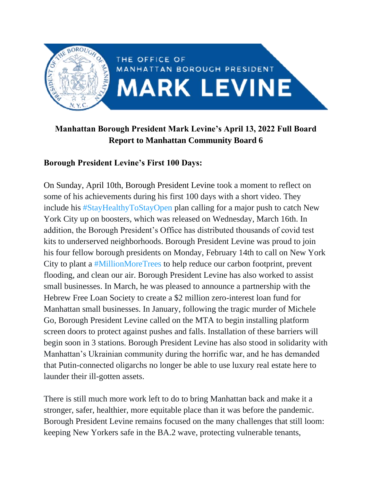

## **Manhattan Borough President Mark Levine's April 13, 2022 Full Board Report to Manhattan Community Board 6**

#### **Borough President Levine's First 100 Days:**

On Sunday, April 10th, Borough President Levine took a moment to reflect on some of his achievements during his first 100 days with a short video. They include his [#StayHealthyToStayOpen](https://twitter.com/hashtag/StayHealthyToStayOpen?src=hashtag_click) plan calling for a major push to catch New York City up on boosters, which was released on Wednesday, March 16th. In addition, the Borough President's Office has distributed thousands of covid test kits to underserved neighborhoods. Borough President Levine was proud to join his four fellow borough presidents on Monday, February 14th to call on New York City to plant a [#MillionMoreTrees](https://twitter.com/hashtag/MillionMoreTrees?src=hashtag_click) to help reduce our carbon footprint, prevent flooding, and clean our air. Borough President Levine has also worked to assist small businesses. In March, he was pleased to announce a partnership with the Hebrew Free Loan Society to create a \$2 million zero-interest loan fund for Manhattan small businesses. In January, following the tragic murder of Michele Go, Borough President Levine called on the MTA to begin installing platform screen doors to protect against pushes and falls. Installation of these barriers will begin soon in 3 stations. Borough President Levine has also stood in solidarity with Manhattan's Ukrainian community during the horrific war, and he has demanded that Putin-connected oligarchs no longer be able to use luxury real estate here to launder their ill-gotten assets.

There is still much more work left to do to bring Manhattan back and make it a stronger, safer, healthier, more equitable place than it was before the pandemic. Borough President Levine remains focused on the many challenges that still loom: keeping New Yorkers safe in the BA.2 wave, protecting vulnerable tenants,